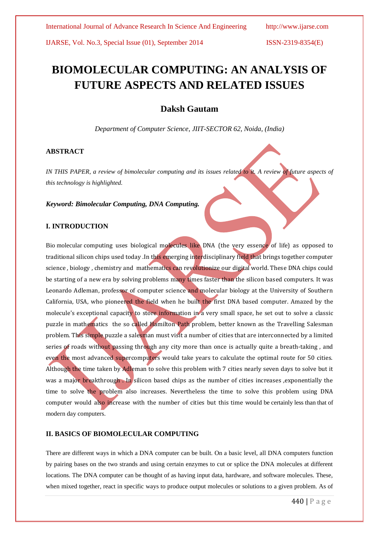# **BIOMOLECULAR COMPUTING: AN ANALYSIS OF FUTURE ASPECTS AND RELATED ISSUES**

# **Daksh Gautam**

*Department of Computer Science, JIIT-SECTOR 62, Noida, (India)*

### **ABSTRACT**

*IN THIS PAPER, a review of bimolecular computing and its issues related to it. A review of future aspects of this technology is highlighted.* 

*Keyword: Bimolecular Computing, DNA Computing.*

### **I. INTRODUCTION**

Bio molecular computing uses biological molecules like DNA (the very essence of life) as opposed to traditional silicon chips used today .In this emerging interdisciplinary field that brings together computer science, biology, chemistry and mathematics can revolutionize our digital world. These DNA chips could be starting of a new era by solving problems many times faster than the silicon based computers. It was Leonardo Adleman, professor of computer science and molecular biology at the University of Southern California, USA, who pioneered the field when he built the first DNA based computer. Amazed by the molecule's exceptional capacity to store information in a very small space, he set out to solve a classic puzzle in mathematics the so called Hamilton Path problem, better known as the Travelling Salesman problem. This simple puzzle a salesman must visit a number of cities that are interconnected by a limited series of roads without passing through any city more than once is actually quite a breath-taking, and even the most advanced supercomputers would take years to calculate the optimal route for 50 cities. Although the time taken by Adleman to solve this problem with 7 cities nearly seven days to solve but it was a major breakthrough. In silicon based chips as the number of cities increases , exponentially the time to solve the problem also increases. Nevertheless the time to solve this problem using DNA computer would also increase with the number of cities but this time would be certainly less than that of modern day computers.

### **II. BASICS OF BIOMOLECULAR COMPUTING**

There are different ways in which a DNA computer can be built. On a basic level, all DNA computers function by pairing bases on the two strands and using certain enzymes to cut or splice the DNA molecules at different locations. The DNA computer can be thought of as having input data, hardware, and software molecules. These, when mixed together, react in specific ways to produce output molecules or solutions to a given problem. As of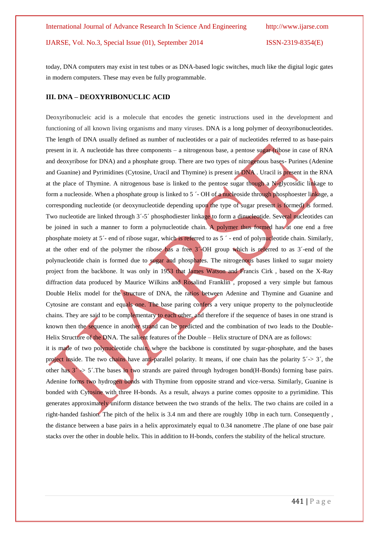today, DNA computers may exist in test tubes or as DNA-based logic switches, much like the digital logic gates in modern computers. These may even be fully programmable.

#### **III. DNA – DEOXYRIBONUCLIC ACID**

Deoxyribonucleic acid is a molecule that encodes the genetic instructions used in the development and functioning of all known living organisms and many viruses. DNA is a long polymer of deoxyribonucleotides. The length of DNA usually defined as number of nucleotides or a pair of nucleotides referred to as base-pairs present in it. A nucleotide has three components – a nitrogenous base, a pentose sugar (ribose in case of RNA and deoxyribose for DNA) and a phosphate group. There are two types of nitrogenous bases- Purines (Adenine and Guanine) and Pyrimidines (Cytosine, Uracil and Thymine) is present in DNA . Uracil is present in the RNA at the place of Thymine. A nitrogenous base is linked to the pentose sugar though a N-glycosidic linkage to form a nucleoside. When a phosphate group is linked to 5 ´- OH of a nucleoside through phosphoester linkage, a corresponding nucleotide (or deoxynucleotide depending upon the type of sugar present is formed) is formed. Two nucleotide are linked through 3´-5´ phosphodiester linkage to form a dinucleotide. Several nucleotides can be joined in such a manner to form a polynucleotide chain. A polymer thus formed has at one end a free phosphate moiety at 5´- end of ribose sugar, which is referred to as 5 ´ - end of polynucleotide chain. Similarly, at the other end of the polymer the ribose has a free 3´-OH group which is referred to as 3´-end of the polynucleotide chain is formed due to sugar and phosphates. The nitrogenous bases linked to sugar moiety project from the backbone. It was only in 1953 that James Watson and Francis Cirk , based on the X-Ray diffraction data produced by Maurice Wilkins and Rosalind Franklin , proposed a very simple but famous Double Helix model for the structure of DNA, the ratios between Adenine and Thymine and Guanine and Cytosine are constant and equals one. The base paring confers a very unique property to the polynucleotide chains. They are said to be complementary to each other, and therefore if the sequence of bases in one strand is known then the sequence in another strand can be predicted and the combination of two leads to the Double-Helix Structure of the DNA. The salient features of the Double – Helix structure of DNA are as follows: it is made of two polynucleotide chain, where the backbone is constituted by sugar-phosphate, and the bases project inside. The two chains have anti-parallel polarity. It means, if one chain has the polarity  $5'$ - $>$  3', the other has  $3 \rightarrow 5'$ . The bases in two strands are paired through hydrogen bond(H-Bonds) forming base pairs. Adenine forms two hydrogen bonds with Thymine from opposite strand and vice-versa. Similarly, Guanine is

bonded with Cytosine with three H-bonds. As a result, always a purine comes opposite to a pyrimidine. This generates approximately uniform distance between the two strands of the helix. The two chains are coiled in a right-handed fashion. The pitch of the helix is 3.4 nm and there are roughly 10bp in each turn. Consequently , the distance between a base pairs in a helix approximately equal to 0.34 nanometre .The plane of one base pair stacks over the other in double helix. This in addition to H-bonds, confers the stability of the helical structure.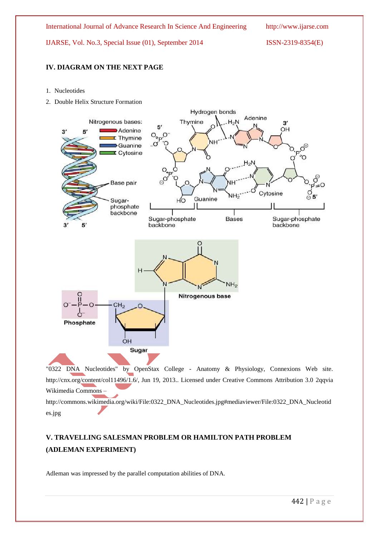## **IV. DIAGRAM ON THE NEXT PAGE**

- 1. Nucleotides
- 2. Double Helix Structure Formation



"0322 DNA Nucleotides" by OpenStax College - Anatomy & Physiology, Connexions Web site. http://cnx.org/content/col11496/1.6/, Jun 19, 2013.. Licensed under Creative Commons Attribution 3.0 2qqvia Wikimedia Commons –

http://commons.wikimedia.org/wiki/File:0322\_DNA\_Nucleotides.jpg#mediaviewer/File:0322\_DNA\_Nucleotid es.jpg

# **V. TRAVELLING SALESMAN PROBLEM OR HAMILTON PATH PROBLEM (ADLEMAN EXPERIMENT)**

Adleman was impressed by the parallel computation abilities of DNA.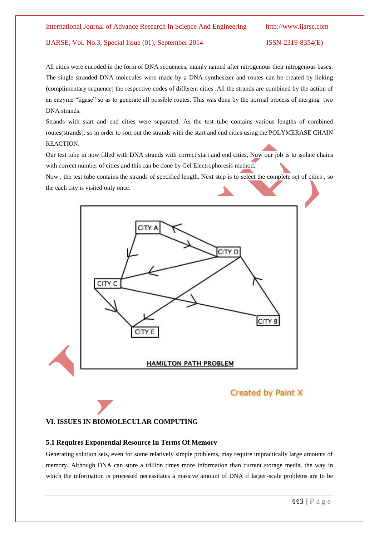All cities were encoded in the form of DNA sequences, mainly named after nitrogenous their nitrogenous bases. The single stranded DNA molecules were made by a DNA synthesizer and routes can be created by linking (complimentary sequence) the respective codes of different cities .All the strands are combined by the action of an enzyme "ligase" so as to generate all possible routes. This was done by the normal process of merging two DNA strands.

Strands with start and end cities were separated. As the test tube contains various lengths of combined routes(strands), so in order to sort out the strands with the start and end cities using the POLYMERASE CHAIN REACTION.

Our test tube in now filled with DNA strands with correct start and end cities, Now our job is to isolate chains with correct number of cities and this can be done by Gel Electrophoresis method.

Now , the test tube contains the strands of specified length. Next step is to select the complete set of cities , so the each city is visited only once.



# Created by Paint X

#### **VI. ISSUES IN BIOMOLECULAR COMPUTING**

#### **5.1 Requires Exponential Resource In Terms Of Memory**

Generating solution sets, even for some relatively simple problems, may require impractically large amounts of memory. Although DNA can store a trillion times more information than current storage media, the way in which the information is processed necessitates a massive amount of DNA if larger-scale problems are to be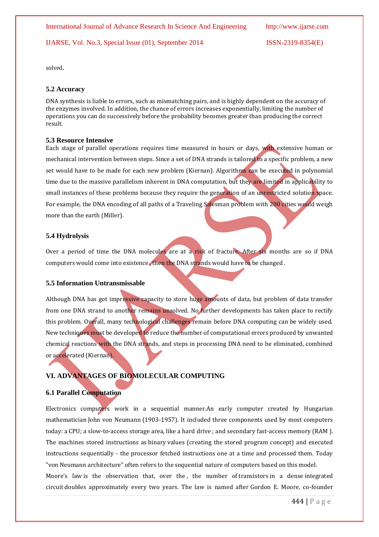solved.

#### **5.2 Accuracy**

DNA synthesis is liable to errors, such as mismatching pairs, and is highly dependent on the accuracy of the enzymes involved. In addition, the chance of errors increases exponentially, limiting the number of operations you can do successively before the probability becomes greater than producing the correct result.

#### **5.3 Resource Intensive**

Each stage of parallel operations requires time measured in hours or days, with extensive human or mechanical intervention between steps. Since a set of DNA strands is tailored to a specific problem, a new set would have to be made for each new problem (Kiernan). Algorithms can be executed in polynomial time due to the massive parallelism inherent in DNA computation, but they are limited in applicability to small instances of these problems because they require the generation of an unrestricted solution space. For example, the DNA encoding of all paths of a Traveling Salesman problem with 200 cities would weigh more than the earth (Miller).

#### **5.4 Hydrolysis**

Over a period of time the DNA molecules are at a risk of fracture. After six months are so if DNA computers would come into existence , then the DNA strands would have to be changed .

### **5.5 Information Untransmissable**

Although DNA has got impressive capacity to store huge amounts of data, but problem of data transfer from one DNA strand to another remains unsolved. No further developments has taken place to rectify this problem. Overall, many technological challenges remain before DNA computing can be widely used. New techniques must be developed to reduce the number of computational errors produced by unwanted chemical reactions with the DNA strands, and steps in processing DNA need to be eliminated, combined or accelerated (Kiernan).

# **VI. ADVANTAGES OF BIOMOLECULAR COMPUTING**

#### **6.1 Parallel Computation**

Electronics computers work in a sequential manner.An early computer created by Hungarian mathematician John von Neumann (1903-1957). It included three components used by most computers today: a CPU; a slow-to-access storage area, like a hard drive ; and secondary fast-access memory (RAM ). The machines stored instructions as binary values (creating the stored program concept) and executed instructions sequentially - the processor fetched instructions one at a time and processed them. Today "von Neumann architecture" often refers to the sequential nature of computers based on this model.

Moore's law is the observation that, over the, the number of transistors in a dense integrated circuit doubles approximately every two years. The law is named after Gordon E. Moore, co-founder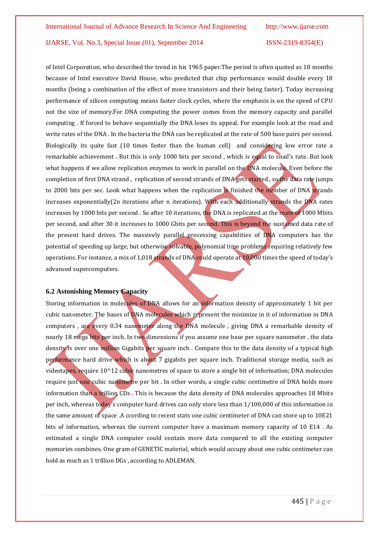of Intel Corporation, who described the trend in his 1965 paper.The period is often quoted as 18 months because of Intel executive David House, who predicted that chip performance would double every 18 months (being a combination of the effect of more transistors and their being faster). Today increasing performance of silicon computing means faster clock cycles, where the emphasis is on the speed of CPU not the size of memory.For DNA computing the power comes from the memory capacity and parallel computing . If forced to behave sequentially the DNA loses its appeal. For example look at the read and write rates of the DNA . In the bacteria the DNA can be replicated at the rate of 500 base pairs per second. Biologically its quite fast (10 times faster than the human cell) and considering low error rate a remarkable achievement . But this is only 1000 bits per second , which is equal to snail's rate. But look what happens if we allow replication enzymes to work in parallel on the DNA molecule. Even before the completion of first DNA strand , replication of second strands of DNA gets started , so the data rate jumps to 2000 bits per sec. Look what happens when the replication is finished the number of DNA strands increases exponentially(2n iterations after n iterations). With each additionally strands the DNA rates increases by 1000 bits per second . So after 10 iterations, the DNA is replicated at the reate of 1000 Mbits per second, and after 30 it increases to 1000 Gbits per second. This is beyond the sustained data rate of the present hard drives. The massively parallel processing capabilities of DNA computers has the potential of speeding up large, but otherwise solvable, polynomial time problems requiring relatively few operations. For instance, a mix of 1,018 strands of DNA could operate at 10,000 times the speed of today's advanced supercomputers.

#### **6.2 Astonishing Memory Capacity**

Storing information in molecules of DNA allows for an information density of approximately 1 bit per cubic nanometer. The bases of DNA molecules which represent the minimize in it of information in DNA computers , are every 0.34 nanometer along the DNA molecule , giving DNA a remarkable density of nearly 18 mega bits per inch. In two dimensions if you assume one base per square nanometer , the data density is over one million Gigabits per square inch. Compare this to the data density of a typical high performance hard drive which is about 7 gigabits per square inch. Traditional storage media, such as videotapes, require 10^12 cubic nanometres of space to store a single bit of information; DNA molecules require just one cubic nanometre per bit. In other words, a single cubic centimetre of DNA holds more information than a trillion CDs . This is because the data density of DNA molecules approaches 18 Mbits per inch, whereas today's computer hard drives can only store less than 1/100,000 of this information in the same amount of space .A ccording to recent stats one cubic centimeter of DNA can store up to 10E21 bits of information, whereas the current computer have a maximum memory capacity of 10 E14 . As estimated a single DNA computer could contain more data compared to all the existing computer memories combines. One gram of GENETIC material, which would occupy about one cubic centimeter can hold as much as 1 trillion DGs , according to ADLEMAN.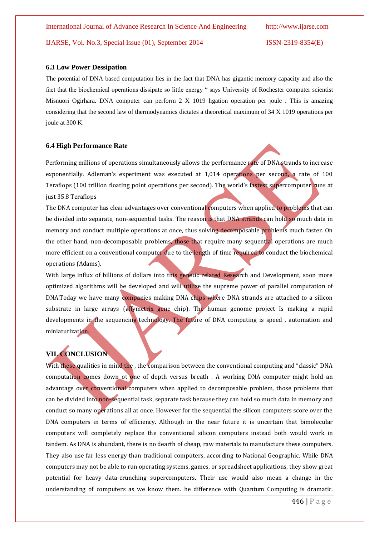#### **6.3 Low Power Dessipation**

The potential of DNA based computation lies in the fact that DNA has gigantic memory capacity and also the fact that the biochemical operations dissipate so little energy " says University of Rochester computer scientist Misnuori Ogirhara. DNA computer can perform 2 X 1019 ligation operation per joule . This is amazing considering that the second law of thermodynamics dictates a theoretical maximum of 34 X 1019 operations per joule at 300 K.

#### **6.4 High Performance Rate**

Performing millions of operations simultaneously allows the performance rate of DNA strands to increase exponentially. Adleman's experiment was executed at 1,014 operations per second, a rate of 100 Teraflops (100 trillion floating point operations per second). The world's fastest supercomputer runs at just 35.8 Teraflops

The DNA computer has clear advantages over conventional computers when applied to problems that can be divided into separate, non-sequential tasks. The reason is that DNA strands can hold so much data in memory and conduct multiple operations at once, thus solving decomposable problems much faster. On the other hand, non-decomposable problems, those that require many sequential operations are much more efficient on a conventional computer due to the length of time required to conduct the biochemical operations (Adams).

With large influx of billions of dollars into this genetic related Research and Development, soon more optimized algorithms will be developed and will utilize the supreme power of parallel computation of DNA.Today we have many companies making DNA chips where DNA strands are attached to a silicon substrate in large arrays (affymetrix gene chip). The human genome project Is making a rapid developments in the sequencing technology. The future of DNA computing is speed, automation and miniaturization.

# **VII. CONCLUSION**

With these qualities in mind the , the comparison between the conventional computing and "classic" DNA computation comes down ot one of depth versus breath . A working DNA computer might hold an advantage over conventional computers when applied to decomposable problem, those problems that can be divided into non-sequential task, separate task because they can hold so much data in memory and conduct so many operations all at once. However for the sequential the silicon computers score over the DNA computers in terms of efficiency. Although in the near future it is uncertain that bimolecular computers will completely replace the conventional silicon computers instead both would work in tandem. As DNA is abundant, there is no dearth of cheap, raw materials to manufacture these computers. They also use far less energy than traditional computers, according to National Geographic. While DNA computers may not be able to run operating systems, games, or spreadsheet applications, they show great potential for heavy data-crunching supercomputers. Their use would also mean a change in the understanding of computers as we know them. he difference with Quantum Computing is dramatic.